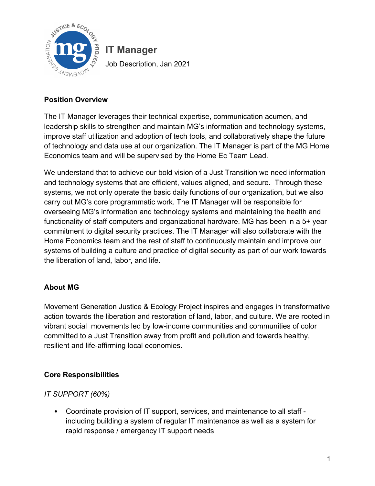

**IT Manager** Job Description, Jan 2021

## **Position Overview**

The IT Manager leverages their technical expertise, communication acumen, and leadership skills to strengthen and maintain MG's information and technology systems, improve staff utilization and adoption of tech tools, and collaboratively shape the future of technology and data use at our organization. The IT Manager is part of the MG Home Economics team and will be supervised by the Home Ec Team Lead.

We understand that to achieve our bold vision of a Just Transition we need information and technology systems that are efficient, values aligned, and secure. Through these systems, we not only operate the basic daily functions of our organization, but we also carry out MG's core programmatic work. The IT Manager will be responsible for overseeing MG's information and technology systems and maintaining the health and functionality of staff computers and organizational hardware. MG has been in a 5+ year commitment to digital security practices. The IT Manager will also collaborate with the Home Economics team and the rest of staff to continuously maintain and improve our systems of building a culture and practice of digital security as part of our work towards the liberation of land, labor, and life.

## **About MG**

Movement Generation Justice & Ecology Project inspires and engages in transformative action towards the liberation and restoration of land, labor, and culture. We are rooted in vibrant social movements led by low-income communities and communities of color committed to a Just Transition away from profit and pollution and towards healthy, resilient and life-affirming local economies.

## **Core Responsibilities**

#### *IT SUPPORT (60%)*

 Coordinate provision of IT support, services, and maintenance to all staff including building a system of regular IT maintenance as well as a system for rapid response / emergency IT support needs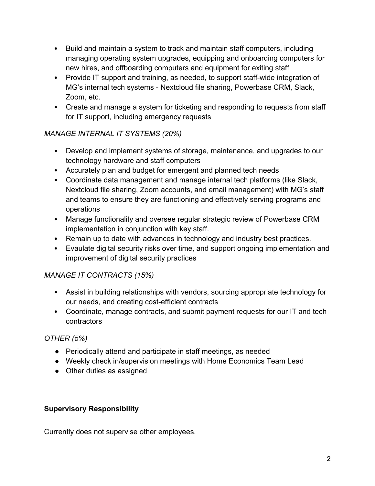- Build and maintain a system to track and maintain staff computers, including managing operating system upgrades, equipping and onboarding computers for new hires, and offboarding computers and equipment for exiting staff
- Provide IT support and training, as needed, to support staff-wide integration of MG's internal tech systems - Nextcloud file sharing, Powerbase CRM, Slack, Zoom, etc.
- Create and manage a system for ticketing and responding to requests from staff for IT support, including emergency requests

## *MANAGE INTERNAL IT SYSTEMS (20%)*

- Develop and implement systems of storage, maintenance, and upgrades to our technology hardware and staff computers
- Accurately plan and budget for emergent and planned tech needs
- Coordinate data management and manage internal tech platforms (like Slack, Nextcloud file sharing, Zoom accounts, and email management) with MG's staff and teams to ensure they are functioning and effectively serving programs and operations
- Manage functionality and oversee regular strategic review of Powerbase CRM implementation in conjunction with key staff.
- Remain up to date with advances in technology and industry best practices.
- Evaulate digital security risks over time, and support ongoing implementation and improvement of digital security practices

# *MANAGE IT CONTRACTS (15%)*

- Assist in building relationships with vendors, sourcing appropriate technology for our needs, and creating cost-efficient contracts
- Coordinate, manage contracts, and submit payment requests for our IT and tech contractors

# *OTHER (5%)*

- Periodically attend and participate in staff meetings, as needed
- Weekly check in/supervision meetings with Home Economics Team Lead
- Other duties as assigned

## **Supervisory Responsibility**

Currently does not supervise other employees.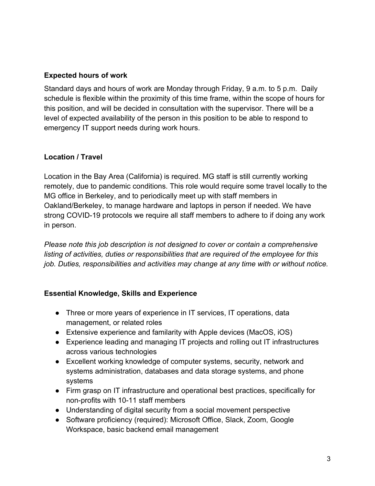#### **Expected hours of work**

Standard days and hours of work are Monday through Friday, 9 a.m. to 5 p.m. Daily schedule is flexible within the proximity of this time frame, within the scope of hours for this position, and will be decided in consultation with the supervisor. There will be a level of expected availability of the person in this position to be able to respond to emergency IT support needs during work hours.

#### **Location / Travel**

Location in the Bay Area (California) is required. MG staff is still currently working remotely, due to pandemic conditions. This role would require some travel locally to the MG office in Berkeley, and to periodically meet up with staff members in Oakland/Berkeley, to manage hardware and laptops in person if needed. We have strong COVID-19 protocols we require all staff members to adhere to if doing any work in person.

*Please note this job description is not designed to cover or contain a comprehensive listing of activities, duties or responsibilities that are required of the employee for this job. Duties, responsibilities and activities may change at any time with or without notice.*

## **Essential Knowledge, Skills and Experience**

- Three or more years of experience in IT services, IT operations, data management, or related roles
- Extensive experience and familarity with Apple devices (MacOS, iOS)
- Experience leading and managing IT projects and rolling out IT infrastructures across various technologies
- Excellent working knowledge of computer systems, security, network and systems administration, databases and data storage systems, and phone systems
- Firm grasp on IT infrastructure and operational best practices, specifically for non-profits with 10-11 staff members
- Understanding of digital security from a social movement perspective
- Software proficiency (required): Microsoft Office, Slack, Zoom, Google Workspace, basic backend email management